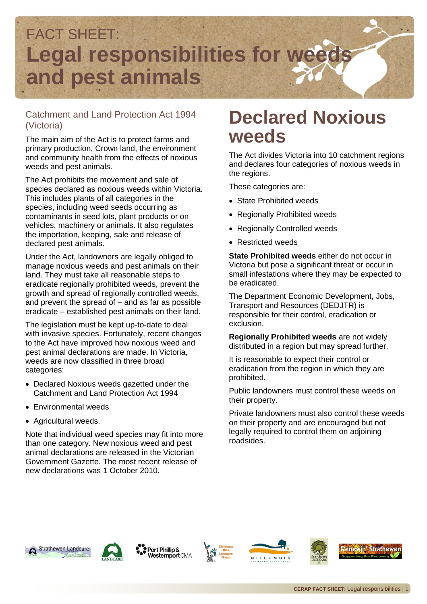

### Catchment and Land Protection Act 1994 (Victoria)

The main aim of the Act is to protect farms and primary production, Crown land, the environment and community health from the effects of noxious weeds and pest animals.

The Act prohibits the movement and sale of species declared as noxious weeds within Victoria. This includes plants of all categories in the species, including weed seeds occurring as contaminants in seed lots, plant products or on vehicles, machinery or animals. It also regulates the importation, keeping, sale and release of declared pest animals.

Under the Act, landowners are legally obliged to manage noxious weeds and pest animals on their land. They must take all reasonable steps to eradicate regionally prohibited weeds, prevent the growth and spread of regionally controlled weeds, and prevent the spread of  $-$  and as far as possible eradicate – established pest animals on their land.

The legislation must be kept up-to-date to deal with invasive species. Fortunately, recent changes to the Act have improved how noxious weed and pest animal declarations are made. In Victoria, weeds are now classified in three broad categories:

- Declared Noxious weeds gazetted under the Catchment and Land Protection Act 1994
- Environmental weeds
- Agricultural weeds.

Note that individual weed species may fit into more than one category. New noxious weed and pest animal declarations are released in the Victorian Government Gazette. The most recent release of new declarations was 1 October 2010.

## **Declared Noxious weeds**

The Act divides Victoria into 10 catchment regions and declares four categories of noxious weeds in the regions.

These categories are:

- State Prohibited weeds
- Regionally Prohibited weeds
- Regionally Controlled weeds
- Restricted weeds

**State Prohibited weeds** either do not occur in Victoria but pose a significant threat or occur in small infestations where they may be expected to be eradicated.

The Department Economic Development, Jobs, Transport and Resources (DEDJTR) is responsible for their control, eradication or exclusion.

**Regionally Prohibited weeds** are not widely distributed in a region but may spread further.

It is reasonable to expect their control or eradication from the region in which they are prohibited.

Public landowners must control these weeds on their property.

Private landowners must also control these weeds on their property and are encouraged but not legally required to control them on adjoining roadsides.





Port Phillip & Westernport CMA







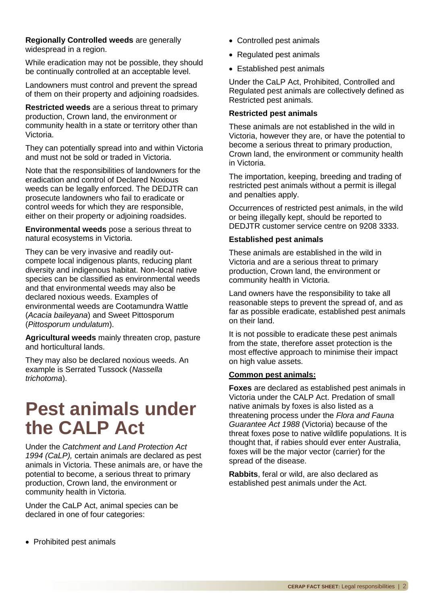#### **Regionally Controlled weeds** are generally widespread in a region.

While eradication may not be possible, they should be continually controlled at an acceptable level.

Landowners must control and prevent the spread of them on their property and adjoining roadsides.

**Restricted weeds** are a serious threat to primary production, Crown land, the environment or community health in a state or territory other than Victoria.

They can potentially spread into and within Victoria and must not be sold or traded in Victoria.

Note that the responsibilities of landowners for the eradication and control of Declared Noxious weeds can be legally enforced. The DEDJTR can prosecute landowners who fail to eradicate or control weeds for which they are responsible, either on their property or adjoining roadsides.

**Environmental weeds** pose a serious threat to natural ecosystems in Victoria.

They can be very invasive and readily outcompete local indigenous plants, reducing plant diversity and indigenous habitat. Non-local native species can be classified as environmental weeds and that environmental weeds may also be declared noxious weeds. Examples of environmental weeds are Cootamundra Wattle (*Acacia baileyana*) and Sweet Pittosporum (*Pittosporum undulatum*).

**Agricultural weeds** mainly threaten crop, pasture and horticultural lands.

They may also be declared noxious weeds. An example is Serrated Tussock (*Nassella trichotoma*).

## **Pest animals under the CALP Act**

Under the *Catchment and Land Protection Act 1994 (CaLP),* certain animals are declared as pest animals in Victoria. These animals are, or have the potential to become, a serious threat to primary production, Crown land, the environment or community health in Victoria.

Under the CaLP Act, animal species can be declared in one of four categories:

- Controlled pest animals
- Regulated pest animals
- Established pest animals

Under the CaLP Act, Prohibited, Controlled and Regulated pest animals are collectively defined as Restricted pest animals.

#### **Restricted pest animals**

These animals are not established in the wild in Victoria, however they are, or have the potential to become a serious threat to primary production, Crown land, the environment or community health in Victoria.

The importation, keeping, breeding and trading of restricted pest animals without a permit is illegal and penalties apply.

Occurrences of restricted pest animals, in the wild or being illegally kept, should be reported to DEDJTR customer service centre on 9208 3333.

#### **Established pest animals**

These animals are established in the wild in Victoria and are a serious threat to primary production, Crown land, the environment or community health in Victoria.

Land owners have the responsibility to take all reasonable steps to prevent the spread of, and as far as possible eradicate, established pest animals on their land.

It is not possible to eradicate these pest animals from the state, therefore asset protection is the most effective approach to minimise their impact on high value assets.

#### **[Common pest animals:](http://www.dpi.vic.gov.au/agriculture/pests-diseases-and-weeds/pest-animals)**

**Foxes** are declared as established pest animals in Victoria under the CALP Act. Predation of small native animals by foxes is also listed as a threatening process under the *Flora and Fauna Guarantee Act 1988* (Victoria) because of the threat foxes pose to native wildlife populations. It is thought that, if rabies should ever enter Australia, foxes will be the major vector (carrier) for the spread of the disease.

**Rabbits**, feral or wild, are also declared as established pest animals under the Act.

• Prohibited pest animals